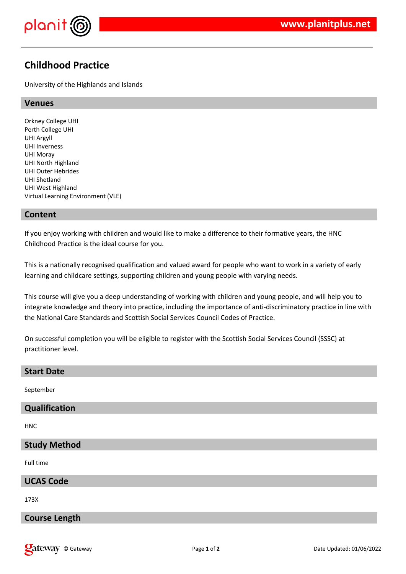

# **Childhood Practice**

University of the Highlands and Islands

#### **Venues**

Orkney College UHI Perth College UHI UHI Argyll UHI Inverness UHI Moray UHI North Highland UHI Outer Hebrides UHI Shetland UHI West Highland Virtual Learning Environment (VLE)

### **Content**

If you enjoy working with children and would like to make a difference to their formative years, the HNC Childhood Practice is the ideal course for you.

This is a nationally recognised qualification and valued award for people who want to work in a variety of early learning and childcare settings, supporting children and young people with varying needs.

This course will give you a deep understanding of working with children and young people, and will help you to integrate knowledge and theory into practice, including the importance of anti-discriminatory practice in line with the National Care Standards and Scottish Social Services Council Codes of Practice.

On successful completion you will be eligible to register with the Scottish Social Services Council (SSSC) at practitioner level.

#### **Start Date**

September

## **Qualification**

HNC

#### **Study Method**

Full time

#### **UCAS Code**

173X

## **Course Length**